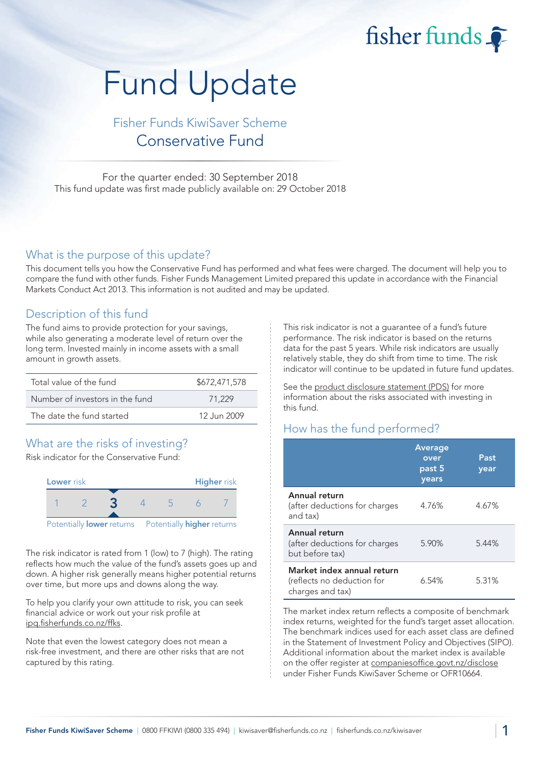fisher funds

# Fund Update

## Fisher Funds KiwiSaver Scheme Conservative Fund

For the quarter ended: 30 September 2018 This fund update was first made publicly available on: 29 October 2018

#### What is the purpose of this update?

This document tells you how the Conservative Fund has performed and what fees were charged. The document will help you to compare the fund with other funds. Fisher Funds Management Limited prepared this update in accordance with the Financial Markets Conduct Act 2013. This information is not audited and may be updated.

#### Description of this fund

The fund aims to provide protection for your savings, while also generating a moderate level of return over the long term. Invested mainly in income assets with a small amount in growth assets.

| Total value of the fund         | \$672,471,578 |
|---------------------------------|---------------|
| Number of investors in the fund | 71.229        |
| The date the fund started       | 12 Jun 2009   |

## What are the risks of investing?

Risk indicator for the Conservative Fund:



The risk indicator is rated from 1 (low) to 7 (high). The rating reflects how much the value of the fund's assets goes up and down. A higher risk generally means higher potential returns over time, but more ups and downs along the way.

To help you clarify your own attitude to risk, you can seek financial advice or work out your risk profile at [ipq.fisherfunds.co.nz/ffks.](https://ipq.fisherfunds.co.nz/ffks)

Note that even the lowest category does not mean a risk-free investment, and there are other risks that are not captured by this rating.

This risk indicator is not a guarantee of a fund's future performance. The risk indicator is based on the returns data for the past 5 years. While risk indicators are usually relatively stable, they do shift from time to time. The risk indicator will continue to be updated in future fund updates.

See the [product disclosure statement \(PDS\)](https://fisherfunds.co.nz/assets/PDS/Fisher-Funds-KiwiSaver-Scheme-PDS.pdf) for more information about the risks associated with investing in this fund.

## How has the fund performed?

|                                                                              | <b>Average</b><br>over<br>past 5<br>years | Past<br>year |
|------------------------------------------------------------------------------|-------------------------------------------|--------------|
| Annual return<br>(after deductions for charges<br>and tax)                   | 4.76%                                     | 4.67%        |
| Annual return<br>(after deductions for charges<br>but before tax)            | 5.90%                                     | 5.44%        |
| Market index annual return<br>(reflects no deduction for<br>charges and tax) | 6.54%                                     | 5.31%        |

The market index return reflects a composite of benchmark index returns, weighted for the fund's target asset allocation. The benchmark indices used for each asset class are defined in the Statement of Investment Policy and Objectives (SIPO). Additional information about the market index is available on the offer register at [companiesoffice.govt.nz/disclose](http://companiesoffice.govt.nz/disclose) under Fisher Funds KiwiSaver Scheme or OFR10664.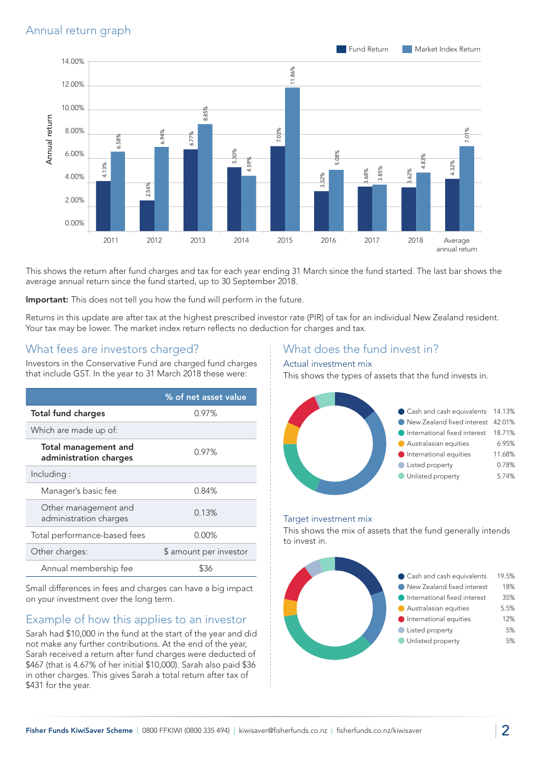

This shows the return after fund charges and tax for each year ending 31 March since the fund started. The last bar shows the average annual return since the fund started, up to 30 September 2018.

Important: This does not tell you how the fund will perform in the future.

Returns in this update are after tax at the highest prescribed investor rate (PIR) of tax for an individual New Zealand resident. Your tax may be lower. The market index return reflects no deduction for charges and tax.

## What fees are investors charged?

Investors in the Conservative Fund are charged fund charges that include GST. In the year to 31 March 2018 these were:

|                                                       | % of net asset value   |
|-------------------------------------------------------|------------------------|
| <b>Total fund charges</b>                             | 0.97%                  |
| Which are made up of:                                 |                        |
| <b>Total management and</b><br>administration charges | $0.97\%$               |
| Including:                                            |                        |
| Manager's basic fee                                   | 0.84%                  |
| Other management and<br>administration charges        | 0.13%                  |
| Total performance-based fees                          | 0.00%                  |
| Other charges:                                        | \$ amount per investor |
| Annual membership fee                                 | \$36                   |

Small differences in fees and charges can have a big impact on your investment over the long term.

## Example of how this applies to an investor

Sarah had \$10,000 in the fund at the start of the year and did not make any further contributions. At the end of the year, Sarah received a return after fund charges were deducted of \$467 (that is 4.67% of her initial \$10,000). Sarah also paid \$36 in other charges. This gives Sarah a total return after tax of \$431 for the year.

#### What does the fund invest in?

#### Actual investment mix

This shows the types of assets that the fund invests in.



#### Target investment mix

This shows the mix of assets that the fund generally intends to invest in.